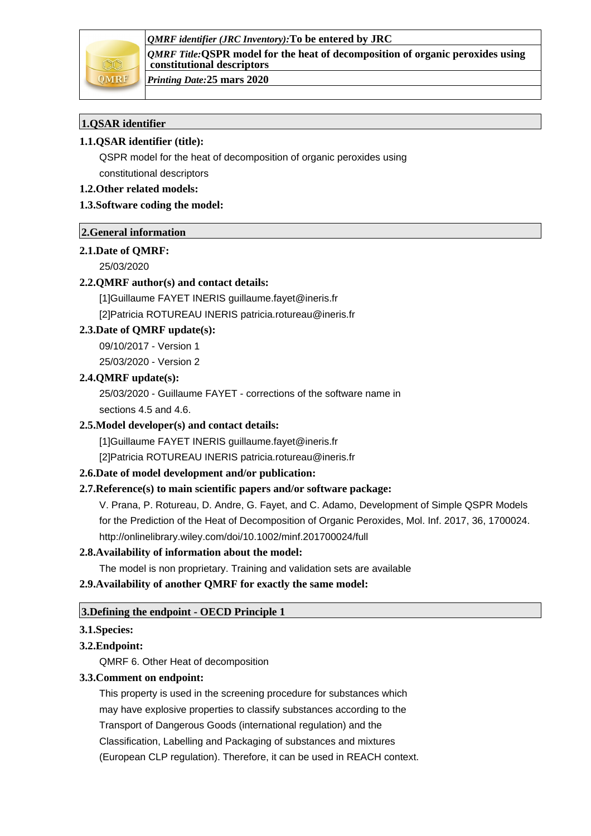*QMRF identifier (JRC Inventory):***To be entered by JRC**



*QMRF Title:***QSPR model for the heat of decomposition of organic peroxides using constitutional descriptors**

*Printing Date:***25 mars 2020**

# **1.QSAR identifier**

# **1.1.QSAR identifier (title):**

QSPR model for the heat of decomposition of organic peroxides using constitutional descriptors

### **1.2.Other related models:**

# **1.3.Software coding the model:**

# **2.General information**

# **2.1.Date of QMRF:**

25/03/2020

# **2.2.QMRF author(s) and contact details:**

[1]Guillaume FAYET INERIS guillaume.fayet@ineris.fr

[2]Patricia ROTUREAU INERIS patricia.rotureau@ineris.fr

# **2.3.Date of QMRF update(s):**

09/10/2017 - Version 1

25/03/2020 - Version 2

### **2.4.QMRF update(s):**

25/03/2020 - Guillaume FAYET - corrections of the software name in sections 4.5 and 4.6.

# **2.5.Model developer(s) and contact details:**

[1]Guillaume FAYET INERIS guillaume.fayet@ineris.fr

[2]Patricia ROTUREAU INERIS patricia.rotureau@ineris.fr

# **2.6.Date of model development and/or publication:**

# **2.7.Reference(s) to main scientific papers and/or software package:**

V. Prana, P. Rotureau, D. Andre, G. Fayet, and C. Adamo, Development of Simple QSPR Models for the Prediction of the Heat of Decomposition of Organic Peroxides, Mol. Inf. 2017, 36, 1700024. http://onlinelibrary.wiley.com/doi/10.1002/minf.201700024/full

# **2.8.Availability of information about the model:**

The model is non proprietary. Training and validation sets are available

# **2.9.Availability of another QMRF for exactly the same model:**

# **3.Defining the endpoint - OECD Principle 1**

# **3.1.Species:**

# **3.2.Endpoint:**

QMRF 6. Other Heat of decomposition

# **3.3.Comment on endpoint:**

This property is used in the screening procedure for substances which may have explosive properties to classify substances according to the Transport of Dangerous Goods (international regulation) and the Classification, Labelling and Packaging of substances and mixtures (European CLP regulation). Therefore, it can be used in REACH context.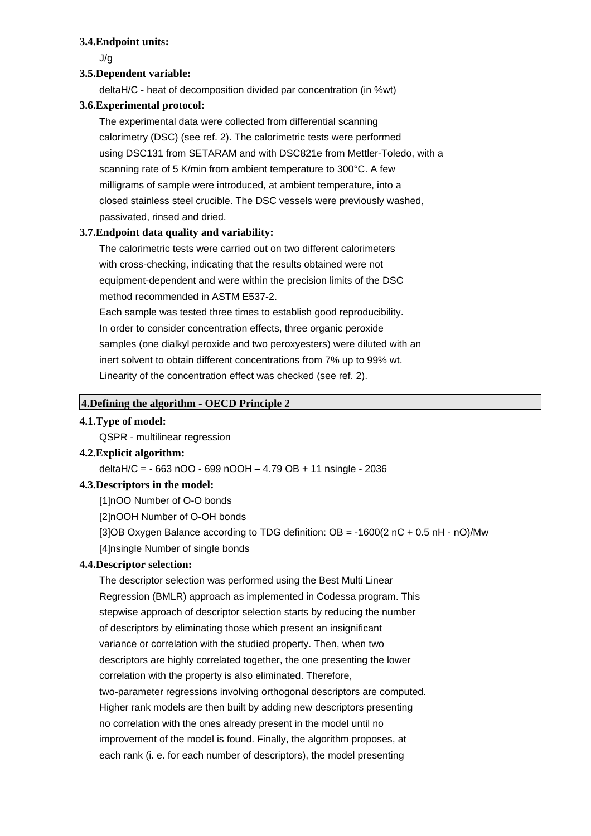#### **3.4.Endpoint units:**

J/g

### **3.5.Dependent variable:**

deltaH/C - heat of decomposition divided par concentration (in %wt)

#### **3.6.Experimental protocol:**

The experimental data were collected from differential scanning calorimetry (DSC) (see ref. 2). The calorimetric tests were performed using DSC131 from SETARAM and with DSC821e from Mettler-Toledo, with a scanning rate of 5 K/min from ambient temperature to 300°C. A few milligrams of sample were introduced, at ambient temperature, into a closed stainless steel crucible. The DSC vessels were previously washed, passivated, rinsed and dried.

### **3.7.Endpoint data quality and variability:**

The calorimetric tests were carried out on two different calorimeters with cross-checking, indicating that the results obtained were not equipment-dependent and were within the precision limits of the DSC method recommended in ASTM E537-2.

Each sample was tested three times to establish good reproducibility. In order to consider concentration effects, three organic peroxide samples (one dialkyl peroxide and two peroxyesters) were diluted with an inert solvent to obtain different concentrations from 7% up to 99% wt. Linearity of the concentration effect was checked (see ref. 2).

#### **4.Defining the algorithm - OECD Principle 2**

# **4.1.Type of model:**

QSPR - multilinear regression

### **4.2.Explicit algorithm:**

deltaH/C = - 663 nOO - 699 nOOH – 4.79 OB + 11 nsingle - 2036

### **4.3.Descriptors in the model:**

[1]nOO Number of O-O bonds

[2]nOOH Number of O-OH bonds

[3]OB Oxygen Balance according to TDG definition: OB = -1600(2 nC + 0.5 nH - nO)/Mw

[4]nsingle Number of single bonds

### **4.4.Descriptor selection:**

The descriptor selection was performed using the Best Multi Linear Regression (BMLR) approach as implemented in Codessa program. This stepwise approach of descriptor selection starts by reducing the number of descriptors by eliminating those which present an insignificant variance or correlation with the studied property. Then, when two descriptors are highly correlated together, the one presenting the lower correlation with the property is also eliminated. Therefore, two-parameter regressions involving orthogonal descriptors are computed. Higher rank models are then built by adding new descriptors presenting no correlation with the ones already present in the model until no improvement of the model is found. Finally, the algorithm proposes, at each rank (i. e. for each number of descriptors), the model presenting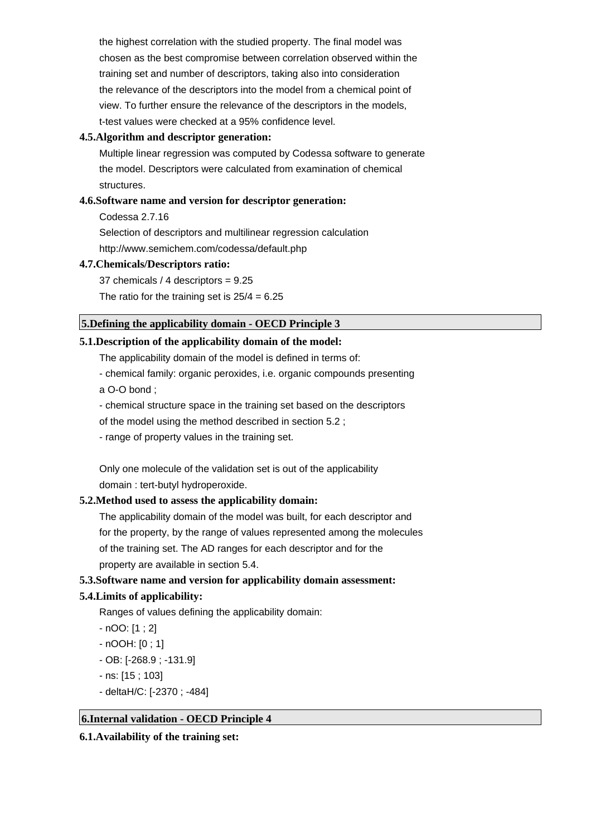the highest correlation with the studied property. The final model was chosen as the best compromise between correlation observed within the training set and number of descriptors, taking also into consideration the relevance of the descriptors into the model from a chemical point of view. To further ensure the relevance of the descriptors in the models, t-test values were checked at a 95% confidence level.

### **4.5.Algorithm and descriptor generation:**

Multiple linear regression was computed by Codessa software to generate the model. Descriptors were calculated from examination of chemical structures.

### **4.6.Software name and version for descriptor generation:**

Codessa 2.7.16 Selection of descriptors and multilinear regression calculation http://www.semichem.com/codessa/default.php

### **4.7.Chemicals/Descriptors ratio:**

37 chemicals / 4 descriptors = 9.25

The ratio for the training set is  $25/4 = 6.25$ 

### **5.Defining the applicability domain - OECD Principle 3**

### **5.1.Description of the applicability domain of the model:**

The applicability domain of the model is defined in terms of:

- chemical family: organic peroxides, i.e. organic compounds presenting

a O-O bond ;

- chemical structure space in the training set based on the descriptors

of the model using the method described in section 5.2 ;

- range of property values in the training set.

Only one molecule of the validation set is out of the applicability domain : tert-butyl hydroperoxide.

### **5.2.Method used to assess the applicability domain:**

The applicability domain of the model was built, for each descriptor and for the property, by the range of values represented among the molecules of the training set. The AD ranges for each descriptor and for the property are available in section 5.4.

### **5.3.Software name and version for applicability domain assessment:**

### **5.4.Limits of applicability:**

Ranges of values defining the applicability domain:

- nOO: [1 ; 2]

- nOOH: [0 ; 1]
- OB: [-268.9 ; -131.9]
- ns: [15 ; 103]
- deltaH/C: [-2370 ; -484]

### **6.Internal validation - OECD Principle 4**

**6.1.Availability of the training set:**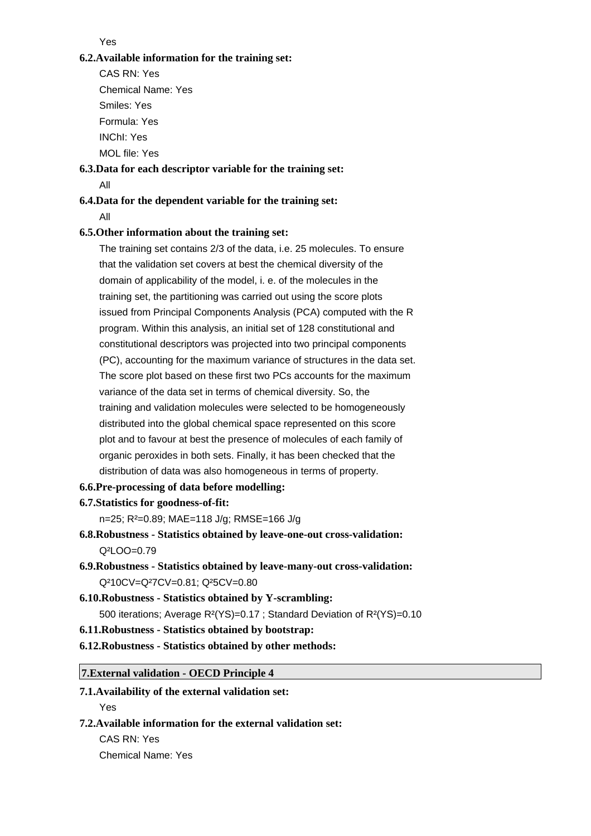Yes

#### **6.2.Available information for the training set:**

CAS RN: Yes Chemical Name: Yes Smiles: Yes Formula: Yes INChI: Yes MOL file: Yes

**6.3.Data for each descriptor variable for the training set:** All

# **6.4.Data for the dependent variable for the training set:** All

### **6.5.Other information about the training set:**

The training set contains 2/3 of the data, i.e. 25 molecules. To ensure that the validation set covers at best the chemical diversity of the domain of applicability of the model, i. e. of the molecules in the training set, the partitioning was carried out using the score plots issued from Principal Components Analysis (PCA) computed with the R program. Within this analysis, an initial set of 128 constitutional and constitutional descriptors was projected into two principal components (PC), accounting for the maximum variance of structures in the data set. The score plot based on these first two PCs accounts for the maximum variance of the data set in terms of chemical diversity. So, the training and validation molecules were selected to be homogeneously distributed into the global chemical space represented on this score plot and to favour at best the presence of molecules of each family of organic peroxides in both sets. Finally, it has been checked that the distribution of data was also homogeneous in terms of property.

### **6.6.Pre-processing of data before modelling:**

# **6.7.Statistics for goodness-of-fit:**

n=25; R²=0.89; MAE=118 J/g; RMSE=166 J/g

# **6.8.Robustness - Statistics obtained by leave-one-out cross-validation:** Q²LOO=0.79

- **6.9.Robustness Statistics obtained by leave-many-out cross-validation:** Q²10CV=Q²7CV=0.81; Q²5CV=0.80
- **6.10.Robustness Statistics obtained by Y-scrambling:**

500 iterations; Average R²(YS)=0.17 ; Standard Deviation of R²(YS)=0.10

### **6.11.Robustness - Statistics obtained by bootstrap:**

**6.12.Robustness - Statistics obtained by other methods:**

# **7.External validation - OECD Principle 4**

**7.1.Availability of the external validation set:**

Yes

**7.2.Available information for the external validation set:**

CAS RN: Yes Chemical Name: Yes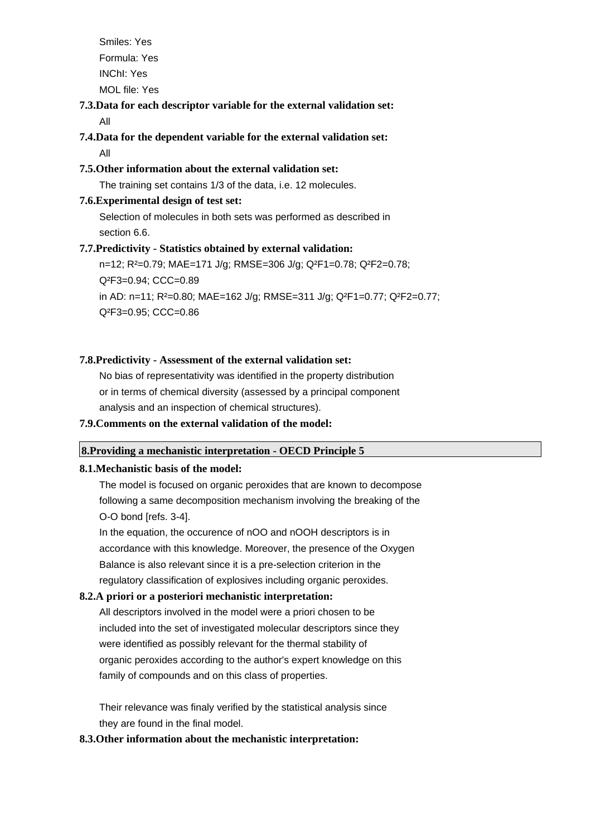Smiles: Yes Formula: Yes INChI: Yes MOL file: Yes

### **7.3.Data for each descriptor variable for the external validation set:** All

**7.4.Data for the dependent variable for the external validation set:** All

### **7.5.Other information about the external validation set:**

The training set contains 1/3 of the data, i.e. 12 molecules.

### **7.6.Experimental design of test set:**

Selection of molecules in both sets was performed as described in section 6.6.

### **7.7.Predictivity - Statistics obtained by external validation:**

n=12; R²=0.79; MAE=171 J/g; RMSE=306 J/g; Q²F1=0.78; Q²F2=0.78; Q²F3=0.94; CCC=0.89 in AD: n=11; R²=0.80; MAE=162 J/g; RMSE=311 J/g; Q²F1=0.77; Q²F2=0.77; Q²F3=0.95; CCC=0.86

### **7.8.Predictivity - Assessment of the external validation set:**

No bias of representativity was identified in the property distribution or in terms of chemical diversity (assessed by a principal component analysis and an inspection of chemical structures).

### **7.9.Comments on the external validation of the model:**

# **8.Providing a mechanistic interpretation - OECD Principle 5**

# **8.1.Mechanistic basis of the model:**

The model is focused on organic peroxides that are known to decompose following a same decomposition mechanism involving the breaking of the O-O bond [refs. 3-4].

In the equation, the occurence of nOO and nOOH descriptors is in accordance with this knowledge. Moreover, the presence of the Oxygen Balance is also relevant since it is a pre-selection criterion in the regulatory classification of explosives including organic peroxides.

# **8.2.A priori or a posteriori mechanistic interpretation:**

All descriptors involved in the model were a priori chosen to be included into the set of investigated molecular descriptors since they were identified as possibly relevant for the thermal stability of organic peroxides according to the author's expert knowledge on this family of compounds and on this class of properties.

Their relevance was finaly verified by the statistical analysis since they are found in the final model.

### **8.3.Other information about the mechanistic interpretation:**